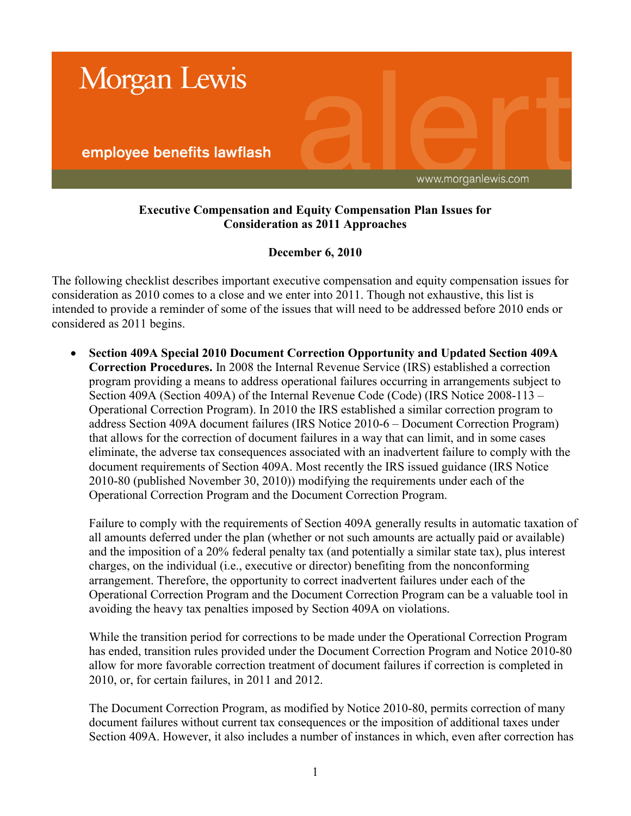

## **Executive Compensation and Equity Compensation Plan Issues for Consideration as 2011 Approaches**

## **December 6, 2010**

The following checklist describes important executive compensation and equity compensation issues for consideration as 2010 comes to a close and we enter into 2011. Though not exhaustive, this list is intended to provide a reminder of some of the issues that will need to be addressed before 2010 ends or considered as 2011 begins.

 **Section 409A Special 2010 Document Correction Opportunity and Updated Section 409A Correction Procedures.** In 2008 the Internal Revenue Service (IRS) established a correction program providing a means to address operational failures occurring in arrangements subject to Section 409A (Section 409A) of the Internal Revenue Code (Code) (IRS Notice 2008-113 – Operational Correction Program). In 2010 the IRS established a similar correction program to address Section 409A document failures (IRS Notice 2010-6 – Document Correction Program) that allows for the correction of document failures in a way that can limit, and in some cases eliminate, the adverse tax consequences associated with an inadvertent failure to comply with the document requirements of Section 409A. Most recently the IRS issued guidance (IRS Notice 2010-80 (published November 30, 2010)) modifying the requirements under each of the Operational Correction Program and the Document Correction Program.

Failure to comply with the requirements of Section 409A generally results in automatic taxation of all amounts deferred under the plan (whether or not such amounts are actually paid or available) and the imposition of a 20% federal penalty tax (and potentially a similar state tax), plus interest charges, on the individual (i.e., executive or director) benefiting from the nonconforming arrangement. Therefore, the opportunity to correct inadvertent failures under each of the Operational Correction Program and the Document Correction Program can be a valuable tool in avoiding the heavy tax penalties imposed by Section 409A on violations.

While the transition period for corrections to be made under the Operational Correction Program has ended, transition rules provided under the Document Correction Program and Notice 2010-80 allow for more favorable correction treatment of document failures if correction is completed in 2010, or, for certain failures, in 2011 and 2012.

The Document Correction Program, as modified by Notice 2010-80, permits correction of many document failures without current tax consequences or the imposition of additional taxes under Section 409A. However, it also includes a number of instances in which, even after correction has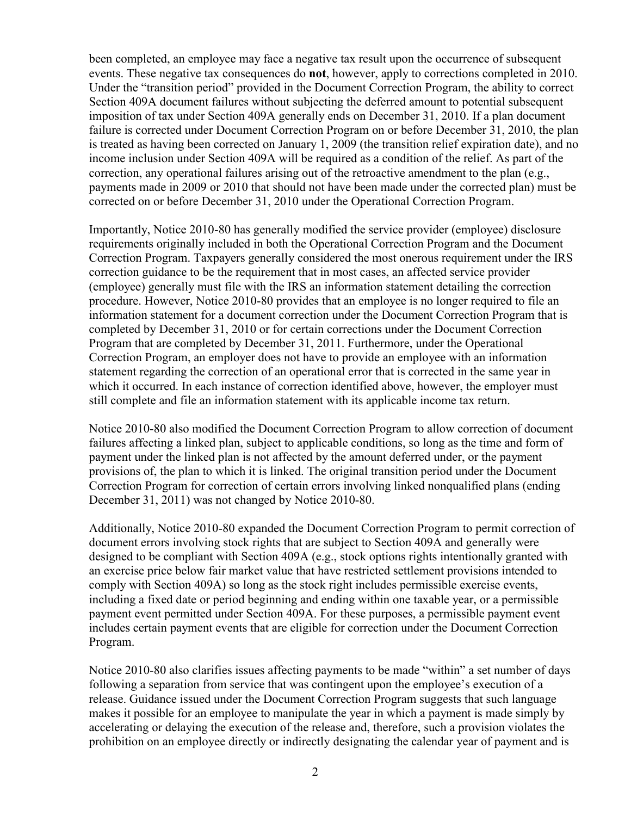been completed, an employee may face a negative tax result upon the occurrence of subsequent events. These negative tax consequences do **not**, however, apply to corrections completed in 2010. Under the "transition period" provided in the Document Correction Program, the ability to correct Section 409A document failures without subjecting the deferred amount to potential subsequent imposition of tax under Section 409A generally ends on December 31, 2010. If a plan document failure is corrected under Document Correction Program on or before December 31, 2010, the plan is treated as having been corrected on January 1, 2009 (the transition relief expiration date), and no income inclusion under Section 409A will be required as a condition of the relief. As part of the correction, any operational failures arising out of the retroactive amendment to the plan (e.g., payments made in 2009 or 2010 that should not have been made under the corrected plan) must be corrected on or before December 31, 2010 under the Operational Correction Program.

Importantly, Notice 2010-80 has generally modified the service provider (employee) disclosure requirements originally included in both the Operational Correction Program and the Document Correction Program. Taxpayers generally considered the most onerous requirement under the IRS correction guidance to be the requirement that in most cases, an affected service provider (employee) generally must file with the IRS an information statement detailing the correction procedure. However, Notice 2010-80 provides that an employee is no longer required to file an information statement for a document correction under the Document Correction Program that is completed by December 31, 2010 or for certain corrections under the Document Correction Program that are completed by December 31, 2011. Furthermore, under the Operational Correction Program, an employer does not have to provide an employee with an information statement regarding the correction of an operational error that is corrected in the same year in which it occurred. In each instance of correction identified above, however, the employer must still complete and file an information statement with its applicable income tax return.

Notice 2010-80 also modified the Document Correction Program to allow correction of document failures affecting a linked plan, subject to applicable conditions, so long as the time and form of payment under the linked plan is not affected by the amount deferred under, or the payment provisions of, the plan to which it is linked. The original transition period under the Document Correction Program for correction of certain errors involving linked nonqualified plans (ending December 31, 2011) was not changed by Notice 2010-80.

Additionally, Notice 2010-80 expanded the Document Correction Program to permit correction of document errors involving stock rights that are subject to Section 409A and generally were designed to be compliant with Section 409A (e.g., stock options rights intentionally granted with an exercise price below fair market value that have restricted settlement provisions intended to comply with Section 409A) so long as the stock right includes permissible exercise events, including a fixed date or period beginning and ending within one taxable year, or a permissible payment event permitted under Section 409A. For these purposes, a permissible payment event includes certain payment events that are eligible for correction under the Document Correction Program.

Notice 2010-80 also clarifies issues affecting payments to be made "within" a set number of days following a separation from service that was contingent upon the employee's execution of a release. Guidance issued under the Document Correction Program suggests that such language makes it possible for an employee to manipulate the year in which a payment is made simply by accelerating or delaying the execution of the release and, therefore, such a provision violates the prohibition on an employee directly or indirectly designating the calendar year of payment and is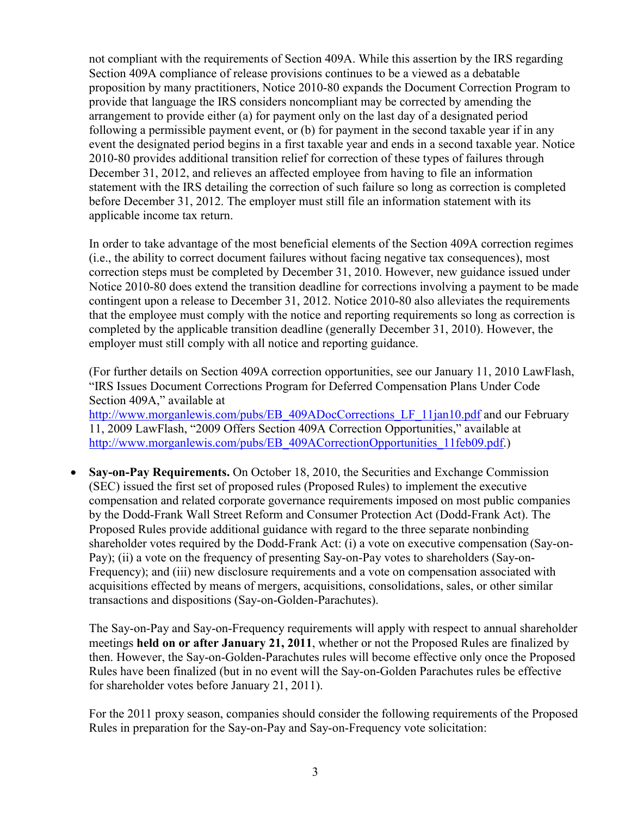not compliant with the requirements of Section 409A. While this assertion by the IRS regarding Section 409A compliance of release provisions continues to be a viewed as a debatable proposition by many practitioners, Notice 2010-80 expands the Document Correction Program to provide that language the IRS considers noncompliant may be corrected by amending the arrangement to provide either (a) for payment only on the last day of a designated period following a permissible payment event, or (b) for payment in the second taxable year if in any event the designated period begins in a first taxable year and ends in a second taxable year. Notice 2010-80 provides additional transition relief for correction of these types of failures through December 31, 2012, and relieves an affected employee from having to file an information statement with the IRS detailing the correction of such failure so long as correction is completed before December 31, 2012. The employer must still file an information statement with its applicable income tax return.

In order to take advantage of the most beneficial elements of the Section 409A correction regimes (i.e., the ability to correct document failures without facing negative tax consequences), most correction steps must be completed by December 31, 2010. However, new guidance issued under Notice 2010-80 does extend the transition deadline for corrections involving a payment to be made contingent upon a release to December 31, 2012. Notice 2010-80 also alleviates the requirements that the employee must comply with the notice and reporting requirements so long as correction is completed by the applicable transition deadline (generally December 31, 2010). However, the employer must still comply with all notice and reporting guidance.

(For further details on Section 409A correction opportunities, see our January 11, 2010 LawFlash, "IRS Issues Document Corrections Program for Deferred Compensation Plans Under Code Section 409A," available at [http://www.morganlewis.com/pubs/EB\\_409ADocCorrections\\_LF\\_11jan10.pdf](http://www.morganlewis.com/pubs/EB_409ADocCorrections_LF_11jan10.pdf) and our February 11, 2009 LawFlash, "2009 Offers Section 409A Correction Opportunities," available at [http://www.morganlewis.com/pubs/EB\\_409ACorrectionOpportunities\\_11feb09.pdf.\)](http://www.morganlewis.com/pubs/EB_409ACorrectionOpportunities_11feb09.pdf)

 **Say-on-Pay Requirements.** On October 18, 2010, the Securities and Exchange Commission (SEC) issued the first set of proposed rules (Proposed Rules) to implement the executive compensation and related corporate governance requirements imposed on most public companies by the Dodd-Frank Wall Street Reform and Consumer Protection Act (Dodd-Frank Act). The Proposed Rules provide additional guidance with regard to the three separate nonbinding shareholder votes required by the Dodd-Frank Act: (i) a vote on executive compensation (Say-on-Pay); (ii) a vote on the frequency of presenting Say-on-Pay votes to shareholders (Say-on-Frequency); and (iii) new disclosure requirements and a vote on compensation associated with acquisitions effected by means of mergers, acquisitions, consolidations, sales, or other similar transactions and dispositions (Say-on-Golden-Parachutes).

The Say-on-Pay and Say-on-Frequency requirements will apply with respect to annual shareholder meetings **held on or after January 21, 2011**, whether or not the Proposed Rules are finalized by then. However, the Say-on-Golden-Parachutes rules will become effective only once the Proposed Rules have been finalized (but in no event will the Say-on-Golden Parachutes rules be effective for shareholder votes before January 21, 2011).

For the 2011 proxy season, companies should consider the following requirements of the Proposed Rules in preparation for the Say-on-Pay and Say-on-Frequency vote solicitation: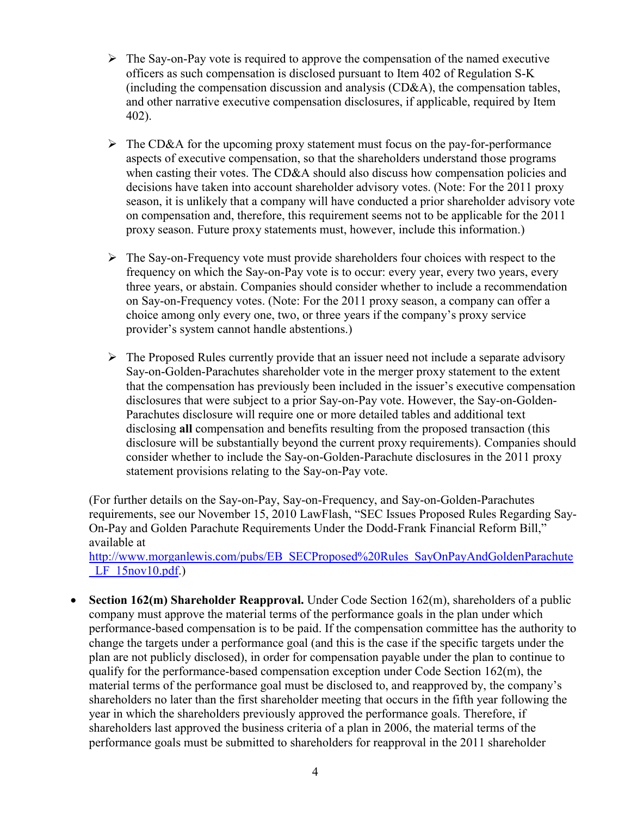- $\triangleright$  The Say-on-Pay vote is required to approve the compensation of the named executive officers as such compensation is disclosed pursuant to Item 402 of Regulation S-K (including the compensation discussion and analysis (CD&A), the compensation tables, and other narrative executive compensation disclosures, if applicable, required by Item 402).
- $\triangleright$  The CD&A for the upcoming proxy statement must focus on the pay-for-performance aspects of executive compensation, so that the shareholders understand those programs when casting their votes. The CD&A should also discuss how compensation policies and decisions have taken into account shareholder advisory votes. (Note: For the 2011 proxy season, it is unlikely that a company will have conducted a prior shareholder advisory vote on compensation and, therefore, this requirement seems not to be applicable for the 2011 proxy season. Future proxy statements must, however, include this information.)
- $\triangleright$  The Say-on-Frequency vote must provide shareholders four choices with respect to the frequency on which the Say-on-Pay vote is to occur: every year, every two years, every three years, or abstain. Companies should consider whether to include a recommendation on Say-on-Frequency votes. (Note: For the 2011 proxy season, a company can offer a choice among only every one, two, or three years if the company's proxy service provider's system cannot handle abstentions.)
- $\triangleright$  The Proposed Rules currently provide that an issuer need not include a separate advisory Say-on-Golden-Parachutes shareholder vote in the merger proxy statement to the extent that the compensation has previously been included in the issuer's executive compensation disclosures that were subject to a prior Say-on-Pay vote. However, the Say-on-Golden-Parachutes disclosure will require one or more detailed tables and additional text disclosing **all** compensation and benefits resulting from the proposed transaction (this disclosure will be substantially beyond the current proxy requirements). Companies should consider whether to include the Say-on-Golden-Parachute disclosures in the 2011 proxy statement provisions relating to the Say-on-Pay vote.

(For further details on the Say-on-Pay, Say-on-Frequency, and Say-on-Golden-Parachutes requirements, see our November 15, 2010 LawFlash, "SEC Issues Proposed Rules Regarding Say-On-Pay and Golden Parachute Requirements Under the Dodd-Frank Financial Reform Bill," available at

[http://www.morganlewis.com/pubs/EB\\_SECProposed%20Rules\\_SayOnPayAndGoldenParachute](http://www.morganlewis.com/pubs/EB_SECProposed Rules_SayOnPayAndGoldenParachute_LF_15nov10.pdf)  $LF$  15nov10.pdf.)

 **Section 162(m) Shareholder Reapproval.** Under Code Section 162(m), shareholders of a public company must approve the material terms of the performance goals in the plan under which performance-based compensation is to be paid. If the compensation committee has the authority to change the targets under a performance goal (and this is the case if the specific targets under the plan are not publicly disclosed), in order for compensation payable under the plan to continue to qualify for the performance-based compensation exception under Code Section 162(m), the material terms of the performance goal must be disclosed to, and reapproved by, the company's shareholders no later than the first shareholder meeting that occurs in the fifth year following the year in which the shareholders previously approved the performance goals. Therefore, if shareholders last approved the business criteria of a plan in 2006, the material terms of the performance goals must be submitted to shareholders for reapproval in the 2011 shareholder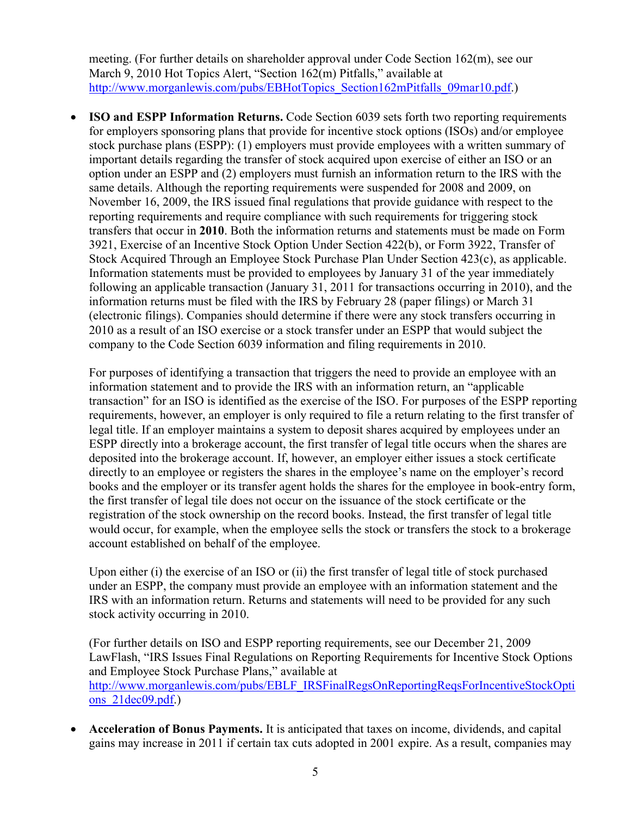meeting. (For further details on shareholder approval under Code Section 162(m), see our March 9, 2010 Hot Topics Alert, "Section 162(m) Pitfalls," available at [http://www.morganlewis.com/pubs/EBHotTopics\\_Section162mPitfalls\\_09mar10.pdf.\)](http://www.morganlewis.com/pubs/EBHotTopics_Section162mPitfalls_09mar10.pdf)

• **ISO and ESPP Information Returns.** Code Section 6039 sets forth two reporting requirements for employers sponsoring plans that provide for incentive stock options (ISOs) and/or employee stock purchase plans (ESPP): (1) employers must provide employees with a written summary of important details regarding the transfer of stock acquired upon exercise of either an ISO or an option under an ESPP and (2) employers must furnish an information return to the IRS with the same details. Although the reporting requirements were suspended for 2008 and 2009, on November 16, 2009, the IRS issued final regulations that provide guidance with respect to the reporting requirements and require compliance with such requirements for triggering stock transfers that occur in **2010**. Both the information returns and statements must be made on Form 3921, Exercise of an Incentive Stock Option Under Section 422(b), or Form 3922, Transfer of Stock Acquired Through an Employee Stock Purchase Plan Under Section 423(c), as applicable. Information statements must be provided to employees by January 31 of the year immediately following an applicable transaction (January 31, 2011 for transactions occurring in 2010), and the information returns must be filed with the IRS by February 28 (paper filings) or March 31 (electronic filings). Companies should determine if there were any stock transfers occurring in 2010 as a result of an ISO exercise or a stock transfer under an ESPP that would subject the company to the Code Section 6039 information and filing requirements in 2010.

For purposes of identifying a transaction that triggers the need to provide an employee with an information statement and to provide the IRS with an information return, an "applicable transaction" for an ISO is identified as the exercise of the ISO. For purposes of the ESPP reporting requirements, however, an employer is only required to file a return relating to the first transfer of legal title. If an employer maintains a system to deposit shares acquired by employees under an ESPP directly into a brokerage account, the first transfer of legal title occurs when the shares are deposited into the brokerage account. If, however, an employer either issues a stock certificate directly to an employee or registers the shares in the employee's name on the employer's record books and the employer or its transfer agent holds the shares for the employee in book-entry form, the first transfer of legal tile does not occur on the issuance of the stock certificate or the registration of the stock ownership on the record books. Instead, the first transfer of legal title would occur, for example, when the employee sells the stock or transfers the stock to a brokerage account established on behalf of the employee.

Upon either (i) the exercise of an ISO or (ii) the first transfer of legal title of stock purchased under an ESPP, the company must provide an employee with an information statement and the IRS with an information return. Returns and statements will need to be provided for any such stock activity occurring in 2010.

(For further details on ISO and ESPP reporting requirements, see our December 21, 2009 LawFlash, "IRS Issues Final Regulations on Reporting Requirements for Incentive Stock Options and Employee Stock Purchase Plans," available at [http://www.morganlewis.com/pubs/EBLF\\_IRSFinalRegsOnReportingReqsForIncentiveStockOpti](http://www.morganlewis.com/pubs/EBLF_IRSFinalRegsOnReportingReqsForIncentiveStockOptions_21dec09.pdf) ons 21dec09.pdf.)

 **Acceleration of Bonus Payments.** It is anticipated that taxes on income, dividends, and capital gains may increase in 2011 if certain tax cuts adopted in 2001 expire. As a result, companies may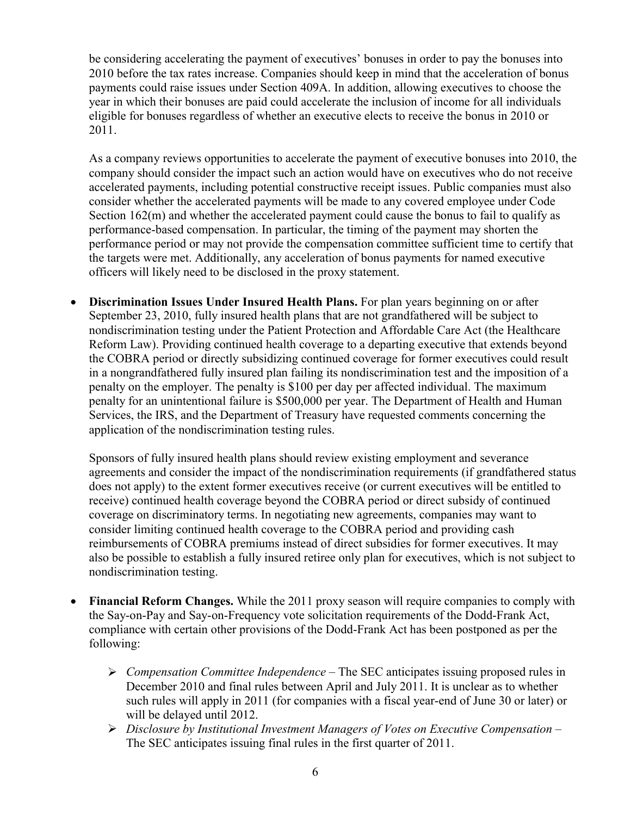be considering accelerating the payment of executives' bonuses in order to pay the bonuses into 2010 before the tax rates increase. Companies should keep in mind that the acceleration of bonus payments could raise issues under Section 409A. In addition, allowing executives to choose the year in which their bonuses are paid could accelerate the inclusion of income for all individuals eligible for bonuses regardless of whether an executive elects to receive the bonus in 2010 or 2011.

As a company reviews opportunities to accelerate the payment of executive bonuses into 2010, the company should consider the impact such an action would have on executives who do not receive accelerated payments, including potential constructive receipt issues. Public companies must also consider whether the accelerated payments will be made to any covered employee under Code Section 162(m) and whether the accelerated payment could cause the bonus to fail to qualify as performance-based compensation. In particular, the timing of the payment may shorten the performance period or may not provide the compensation committee sufficient time to certify that the targets were met. Additionally, any acceleration of bonus payments for named executive officers will likely need to be disclosed in the proxy statement.

 **Discrimination Issues Under Insured Health Plans.** For plan years beginning on or after September 23, 2010, fully insured health plans that are not grandfathered will be subject to nondiscrimination testing under the Patient Protection and Affordable Care Act (the Healthcare Reform Law). Providing continued health coverage to a departing executive that extends beyond the COBRA period or directly subsidizing continued coverage for former executives could result in a nongrandfathered fully insured plan failing its nondiscrimination test and the imposition of a penalty on the employer. The penalty is \$100 per day per affected individual. The maximum penalty for an unintentional failure is \$500,000 per year. The Department of Health and Human Services, the IRS, and the Department of Treasury have requested comments concerning the application of the nondiscrimination testing rules.

Sponsors of fully insured health plans should review existing employment and severance agreements and consider the impact of the nondiscrimination requirements (if grandfathered status does not apply) to the extent former executives receive (or current executives will be entitled to receive) continued health coverage beyond the COBRA period or direct subsidy of continued coverage on discriminatory terms. In negotiating new agreements, companies may want to consider limiting continued health coverage to the COBRA period and providing cash reimbursements of COBRA premiums instead of direct subsidies for former executives. It may also be possible to establish a fully insured retiree only plan for executives, which is not subject to nondiscrimination testing.

- **Financial Reform Changes.** While the 2011 proxy season will require companies to comply with the Say-on-Pay and Say-on-Frequency vote solicitation requirements of the Dodd-Frank Act, compliance with certain other provisions of the Dodd-Frank Act has been postponed as per the following:
	- *Compensation Committee Independence* The SEC anticipates issuing proposed rules in December 2010 and final rules between April and July 2011. It is unclear as to whether such rules will apply in 2011 (for companies with a fiscal year-end of June 30 or later) or will be delayed until 2012.
	- *Disclosure by Institutional Investment Managers of Votes on Executive Compensation –* The SEC anticipates issuing final rules in the first quarter of 2011.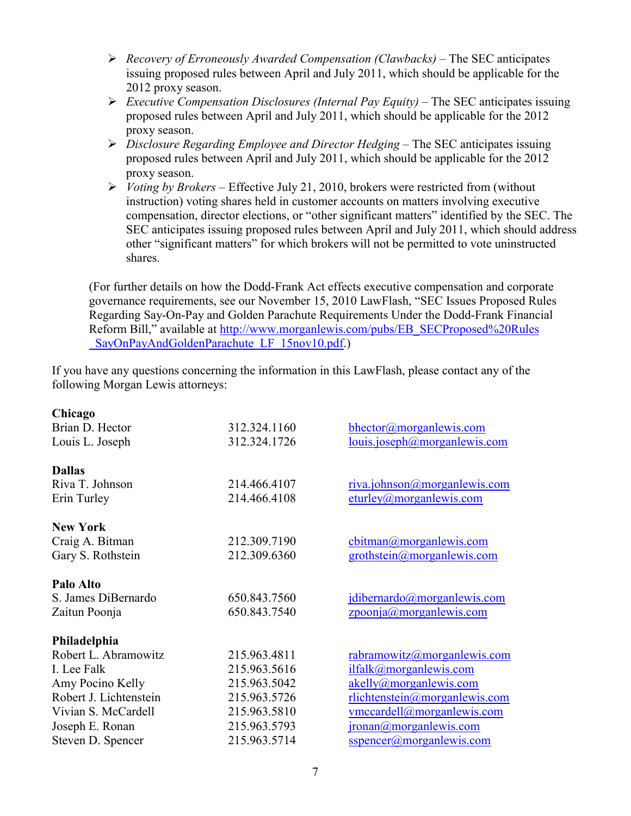- *Recovery of Erroneously Awarded Compensation (Clawbacks)*  The SEC anticipates issuing proposed rules between April and July 2011, which should be applicable for the 2012 proxy season.
- *Executive Compensation Disclosures (Internal Pay Equity)* The SEC anticipates issuing proposed rules between April and July 2011, which should be applicable for the 2012 proxy season.
- *Disclosure Regarding Employee and Director Hedging* The SEC anticipates issuing proposed rules between April and July 2011, which should be applicable for the 2012 proxy season.
- *Voting by Brokers* Effective July 21, 2010, brokers were restricted from (without instruction) voting shares held in customer accounts on matters involving executive compensation, director elections, or "other significant matters" identified by the SEC. The SEC anticipates issuing proposed rules between April and July 2011, which should address other "significant matters" for which brokers will not be permitted to vote uninstructed shares.

(For further details on how the Dodd-Frank Act effects executive compensation and corporate governance requirements, see our November 15, 2010 LawFlash, "SEC Issues Proposed Rules Regarding Say-On-Pay and Golden Parachute Requirements Under the Dodd-Frank Financial Reform Bill," available at [http://www.morganlewis.com/pubs/EB\\_SECProposed%20Rules](http://www.morganlewis.com/pubs/EB_SECProposed Rules_SayOnPayAndGoldenParachute_LF_15nov10.pdf) SayOnPayAndGoldenParachute LF 15nov10.pdf.)

If you have any questions concerning the information in this LawFlash, please contact any of the following Morgan Lewis attorneys:

| Chicago                |              |                                      |
|------------------------|--------------|--------------------------------------|
| Brian D. Hector        | 312.324.1160 | bhector@morganlewis.com              |
| Louis L. Joseph        | 312.324.1726 | louis.joseph@morganlewis.com         |
| <b>Dallas</b>          |              |                                      |
| Riva T. Johnson        | 214.466.4107 | riva.johnson@morganlewis.com         |
| Erin Turley            | 214.466.4108 | $\text{eturley}(a)$ morgan lewis.com |
| <b>New York</b>        |              |                                      |
| Craig A. Bitman        | 212.309.7190 | cbitman@morganlewis.com              |
| Gary S. Rothstein      | 212.309.6360 | grothstein@morganlewis.com           |
| Palo Alto              |              |                                      |
| S. James DiBernardo    | 650.843.7560 | $j$ dibernardo@morganlewis.com       |
| Zaitun Poonja          | 650.843.7540 | zpoonja@morganlewis.com              |
| Philadelphia           |              |                                      |
| Robert L. Abramowitz   | 215.963.4811 | rabramowitz@morganlewis.com          |
| I. Lee Falk            | 215.963.5616 | ilfalk@morganlewis.com               |
| Amy Pocino Kelly       | 215.963.5042 | akelly@morganlewis.com               |
| Robert J. Lichtenstein | 215.963.5726 | $r$ lichtenstein@morganlewis.com     |
| Vivian S. McCardell    | 215.963.5810 | vmccardell@morganlewis.com           |
| Joseph E. Ronan        | 215.963.5793 | jronan@morganlewis.com               |
| Steven D. Spencer      | 215.963.5714 | $s$ spencer@morganlewis.com          |